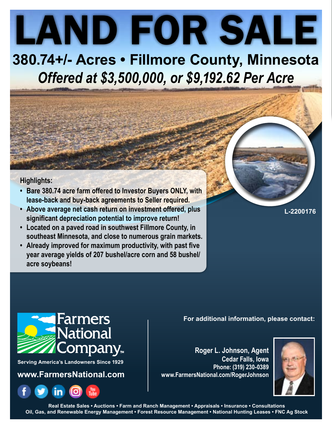LAND FOR SALE **380.74+/- Acres • Fillmore County, Minnesota**

*Offered at \$3,500,000, or \$9,192.62 Per Acre*

### **Highlights:**

- **• Bare 380.74 acre farm offered to Investor Buyers ONLY, with lease-back and buy-back agreements to Seller required.**
- **• Above average net cash return on investment offered, plus significant depreciation potential to improve return!**
- **• Located on a paved road in southwest Fillmore County, in southeast Minnesota, and close to numerous grain markets.**
- **• Already improved for maximum productivity, with past five year average yields of 207 bushel/acre corn and 58 bushel/ acre soybeans!**

**L-2200176**

**For additional information, please contact:**

**Roger L. Johnson, Agent Cedar Falls, Iowa Phone: (319) 230-0389 www.FarmersNational.com/RogerJohnson**



**Real Estate Sales • Auctions • Farm and Ranch Management • Appraisals • Insurance • Consultations Oil, Gas, and Renewable Energy Management • Forest Resource Management • National Hunting Leases • FNC Ag Stock**



**Serving America's Landowners Since 1929**

**www.FarmersNational.com**

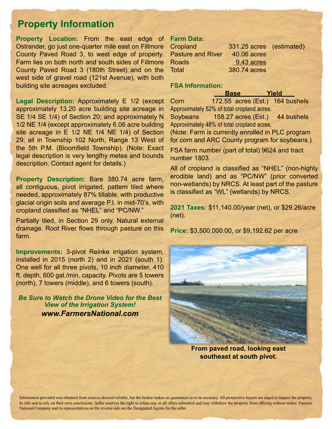## **Property Information**

**Property Location:** From the east edge of Ostrander, go just one-quarter mile east on Fillmore County Paved Road 3, to west edge of property. Farm lies on both north and south sides of Fillmore County Paved Road 3 (180th Street) and on the west side of gravel road (121st Avenue), with both building site acreages excluded.

**Legal Description:** Approximately E 1/2 (except approximately 13.20 acre building site acreage in SE 1/4 SE 1/4) of Section 20; and approximately N 1/2 NE 1/4 (except approximately 6.06 acre building site acreage in E 1/2 NE 1/4 NE 1/4) of Section 29; all in Township 102 North, Range 13 West of the 5th P.M. (Bloomfield Township). (Note: Exact legal description is very lengthy metes and bounds description. Contact agent for details.)

**Property Description:** Bare 380.74 acre farm, all contiguous, pivot irrigated, pattern tiled where needed, approximately 87% tillable, with productive glacial origin soils and average P.I. in mid-70's, with cropland classified as "NHEL" and "PC/NW."

Partially tiled, in Section 29 only. Natural external drainage. Root River flows through pasture on this farm.

**Improvements:** 3-pivot Reinke irrigation system, installed in 2015 (north 2) and in 2021 (south 1). One well for all three pivots, 10 inch diameter, 410 ft. depth, 600 gal./min. capacity. Pivots are 5 towers (north), 7 towers (middle), and 6 towers (south).

*Be Sure to Watch the Drone Video for the Best View of the Irrigation System! [www.FarmersNational.com](http://www.FarmersNational.com)*

#### **Farm Data:**

| 331.25 acres (estimated) |
|--------------------------|
| 40.06 acres              |
| 9.43 acres               |
| 380.74 acres             |
|                          |

#### **FSA Information:**

|      | <b>Base</b> |                                                  | Yield |            |
|------|-------------|--------------------------------------------------|-------|------------|
| Corn |             | 172.55 acres (Est.) 164 bushels                  |       |            |
|      |             | Approximately 52% of total cropland acres.       |       |            |
|      |             | Soybeans 158.27 acres (Est.)                     |       | 44 bushels |
|      |             | Approximately 48% of total cropland acres.       |       |            |
|      |             | (Note: Farm is currently enrolled in PLC program |       |            |

for corn and ARC County program for soybeans.)

FSA farm number (part of total) 9624 and tract number 1803.

All of cropland is classified as "NHEL" (non-highly erodible land) and as "PC/NW" (prior converted non-wetlands) by NRCS. At least part of the pasture is classified as "WL" (wetlands) by NRCS.

**2021 Taxes:** \$11,140.00/year (net), or \$29.26/acre (net).

**Price:** \$3,500,000.00, or \$9,192.62 per acre



**From paved road, looking east southeast at south pivot.**

Information provided was obtained from sources deemed reliable, but the broker makes no guarantees as to its accuracy. All prospective buyers are urged to inspect the property, its title and to rely on their own conclusions. Seller reserves the right to refuse any or all offers submitted and may withdraw the property from offering without notice. Farmers National Company and its representatives on the reverse side are the Designated Agents for the seller.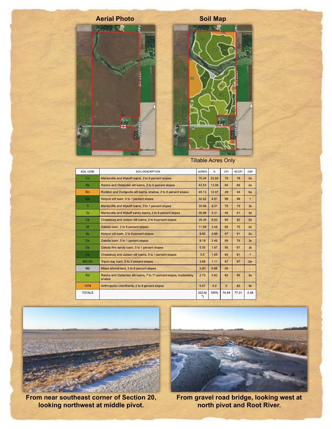

**Tillable Acres Only** 

| SOIL CODE      | SOIL DESCRIPTION                                                              | <b>ACRES</b>                | $\frac{9}{6}$ | CPI          | <b>NCCPI</b> | CAP          |
|----------------|-------------------------------------------------------------------------------|-----------------------------|---------------|--------------|--------------|--------------|
| <b>Tm</b>      | Mantorville and Wykoff loams, 2 to 6 percent slopes                           | 75.34                       | 22.65         | 79           | 78           | 2e           |
| R <sub>b</sub> | Racine and Ostrander silt loams, 2 to 6 percent slopes                        | 43.53                       | 13.09         | 94           | 96           | 2e           |
| Rm             | Rockton and Dodgeville silt loams, shallow, 2 to 6 percent slopes             | 40.13                       | 12.07         | 28           | 44           | 6e           |
| Kd             | Kenyon silt loam, 0 to 1 percent slopes                                       | 32.62                       | 9.81          | 99           | 98           | $\mathbf{1}$ |
| T1             | Mantorville and Wykoff loams, 0 to 1 percent slopes                           | 30.96                       | 9.31          | 79           | 79           | 2s           |
| Tp             | Mantorville and Wykoff sandy loams, 2 to 6 percent slopes                     | 30.96                       | 9.31          | 49           | 61           | 3e           |
| C <sub>b</sub> | Chaseburg and Judson silt loams, 2 to 6 percent slopes                        | 28.36                       | 8.53          | 94           | 92           | 2e           |
| Df             | Dakota loam, 2 to 6 percent slopes                                            | 11.59                       | 3.48          | 69           | 75           | 2e           |
| Ke             | Kenyon silt loam, 2 to 6 percent slopes                                       | 9.83                        | 2.96          | 97           | 91           | 2e           |
| De:            | Dakota Ioam, 0 to 1 percent slopes                                            | 8.19                        | 2.46          | 69           | 76           | 2s           |
| <b>Da</b>      | Dakota fine sandy loam, 0 to 1 percent slopes                                 | 5.55                        | 1.67          | 56           | 67           | 2s           |
| Ca             | Chaseburg and Judson silt loams, 0 to 1 percent slopes                        | 5.5                         | 1.65          | 94           | 81           | $\mathbf{1}$ |
| <b>M515A</b>   | Tripoli clay loam, 0 to 2 percent slopes                                      | 3.68                        | 1.11          | 87           | 67           | 2w           |
| Md             | Mixed alluvial land, 0 to 6 percent slopes                                    | 2.93                        | 0.88          | 20           | u,           |              |
| Rd             | Racine and Ostrander silt loams, 7 to 11 percent slopes, moderately<br>eroded | 2.73                        | 0.82          | 82           | 90           | 3e           |
| 1078           | Anthroportic Udorthents, 2 to 9 percent slopes                                | 0.67                        | 0.2           | $\mathbf{0}$ | 82           | 6s           |
| <b>TOTALS</b>  |                                                                               | 332.6(<br>$\boldsymbol{r})$ | 100%          | 74.49        | 77.31        | 2.48         |



From near southeast corner of Section 20, looking northwest at middle pivot.



From gravel road bridge, looking west at<br>north pivot and Root River.